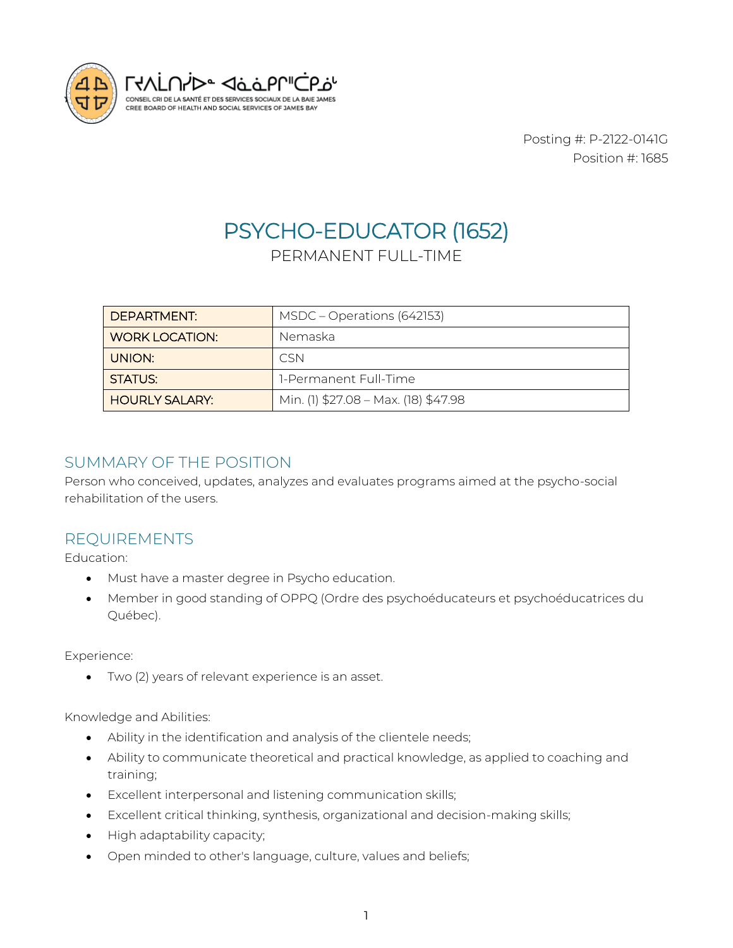

Posting #: P-2122-0141G Position #: 1685

# PSYCHO-EDUCATOR (1652)

# PERMANENT FULL-TIME

| DEPARTMENT:           | MSDC – Operations (642153)           |
|-----------------------|--------------------------------------|
| WORK LOCATION:        | Nemaska                              |
| UNION:                | C.SN                                 |
| STATUS:               | 1-Permanent Full-Time                |
| <b>HOURLY SALARY:</b> | Min. (1) \$27.08 - Max. (18) \$47.98 |

## SUMMARY OF THE POSITION

Person who conceived, updates, analyzes and evaluates programs aimed at the psycho-social rehabilitation of the users.

## REQUIREMENTS

Education:

- Must have a master degree in Psycho education.
- Member in good standing of OPPQ (Ordre des psychoéducateurs et psychoéducatrices du Québec).

Experience:

• Two (2) years of relevant experience is an asset.

Knowledge and Abilities:

- Ability in the identification and analysis of the clientele needs;
- Ability to communicate theoretical and practical knowledge, as applied to coaching and training;
- Excellent interpersonal and listening communication skills;
- Excellent critical thinking, synthesis, organizational and decision-making skills;
- High adaptability capacity;
- Open minded to other's language, culture, values and beliefs;